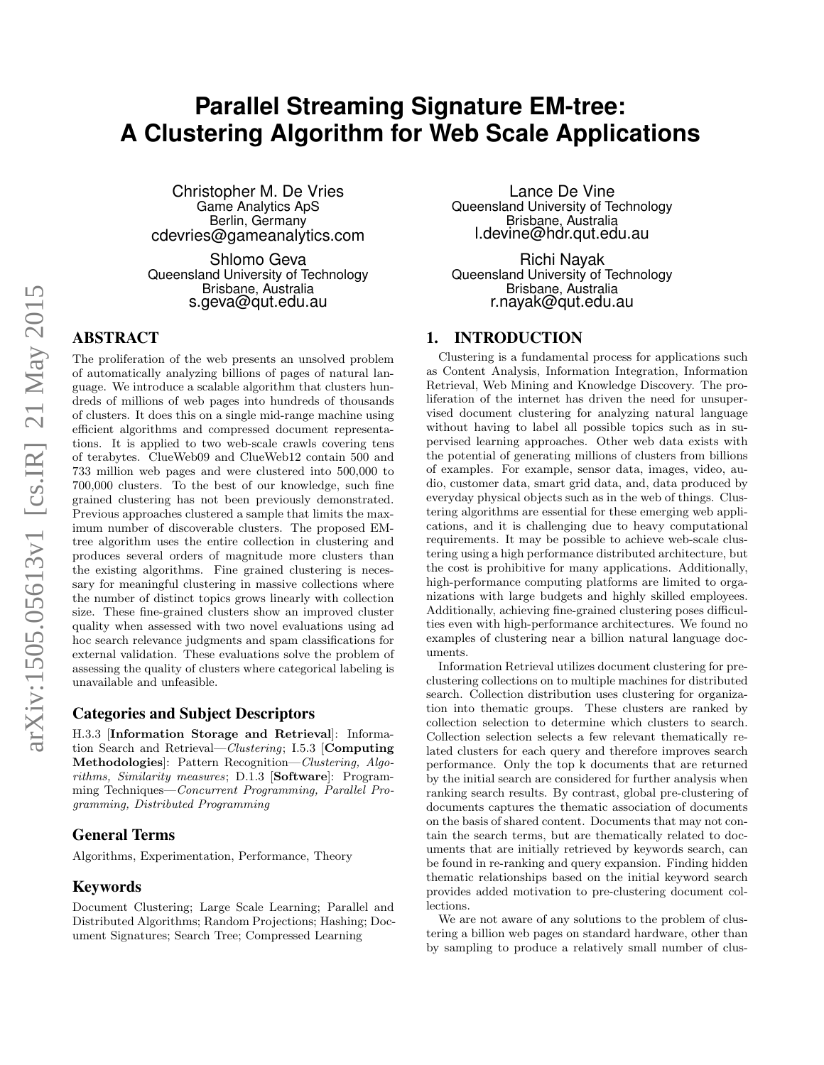# **Parallel Streaming Signature EM-tree: A Clustering Algorithm for Web Scale Applications**

Christopher M. De Vries Game Analytics ApS Berlin, Germany cdevries@gameanalytics.com

Shlomo Geva Queensland University of Technology Brisbane, Australia s.geva@qut.edu.au

# ABSTRACT

The proliferation of the web presents an unsolved problem of automatically analyzing billions of pages of natural language. We introduce a scalable algorithm that clusters hundreds of millions of web pages into hundreds of thousands of clusters. It does this on a single mid-range machine using efficient algorithms and compressed document representations. It is applied to two web-scale crawls covering tens of terabytes. ClueWeb09 and ClueWeb12 contain 500 and 733 million web pages and were clustered into 500,000 to 700,000 clusters. To the best of our knowledge, such fine grained clustering has not been previously demonstrated. Previous approaches clustered a sample that limits the maximum number of discoverable clusters. The proposed EMtree algorithm uses the entire collection in clustering and produces several orders of magnitude more clusters than the existing algorithms. Fine grained clustering is necessary for meaningful clustering in massive collections where the number of distinct topics grows linearly with collection size. These fine-grained clusters show an improved cluster quality when assessed with two novel evaluations using ad hoc search relevance judgments and spam classifications for external validation. These evaluations solve the problem of assessing the quality of clusters where categorical labeling is unavailable and unfeasible.

## Categories and Subject Descriptors

H.3.3 [Information Storage and Retrieval]: Information Search and Retrieval—Clustering; I.5.3 [Computing Methodologies]: Pattern Recognition—Clustering, Algorithms, Similarity measures; D.1.3 [Software]: Programming Techniques—Concurrent Programming, Parallel Programming, Distributed Programming

# General Terms

Algorithms, Experimentation, Performance, Theory

#### Keywords

Document Clustering; Large Scale Learning; Parallel and Distributed Algorithms; Random Projections; Hashing; Document Signatures; Search Tree; Compressed Learning

Lance De Vine Queensland University of Technology Brisbane, Australia l.devine@hdr.qut.edu.au

Richi Nayak Queensland University of Technology Brisbane, Australia r.nayak@qut.edu.au

# 1. INTRODUCTION

Clustering is a fundamental process for applications such as Content Analysis, Information Integration, Information Retrieval, Web Mining and Knowledge Discovery. The proliferation of the internet has driven the need for unsupervised document clustering for analyzing natural language without having to label all possible topics such as in supervised learning approaches. Other web data exists with the potential of generating millions of clusters from billions of examples. For example, sensor data, images, video, audio, customer data, smart grid data, and, data produced by everyday physical objects such as in the web of things. Clustering algorithms are essential for these emerging web applications, and it is challenging due to heavy computational requirements. It may be possible to achieve web-scale clustering using a high performance distributed architecture, but the cost is prohibitive for many applications. Additionally, high-performance computing platforms are limited to organizations with large budgets and highly skilled employees. Additionally, achieving fine-grained clustering poses difficulties even with high-performance architectures. We found no examples of clustering near a billion natural language documents.

Information Retrieval utilizes document clustering for preclustering collections on to multiple machines for distributed search. Collection distribution uses clustering for organization into thematic groups. These clusters are ranked by collection selection to determine which clusters to search. Collection selection selects a few relevant thematically related clusters for each query and therefore improves search performance. Only the top k documents that are returned by the initial search are considered for further analysis when ranking search results. By contrast, global pre-clustering of documents captures the thematic association of documents on the basis of shared content. Documents that may not contain the search terms, but are thematically related to documents that are initially retrieved by keywords search, can be found in re-ranking and query expansion. Finding hidden thematic relationships based on the initial keyword search provides added motivation to pre-clustering document collections.

We are not aware of any solutions to the problem of clustering a billion web pages on standard hardware, other than by sampling to produce a relatively small number of clus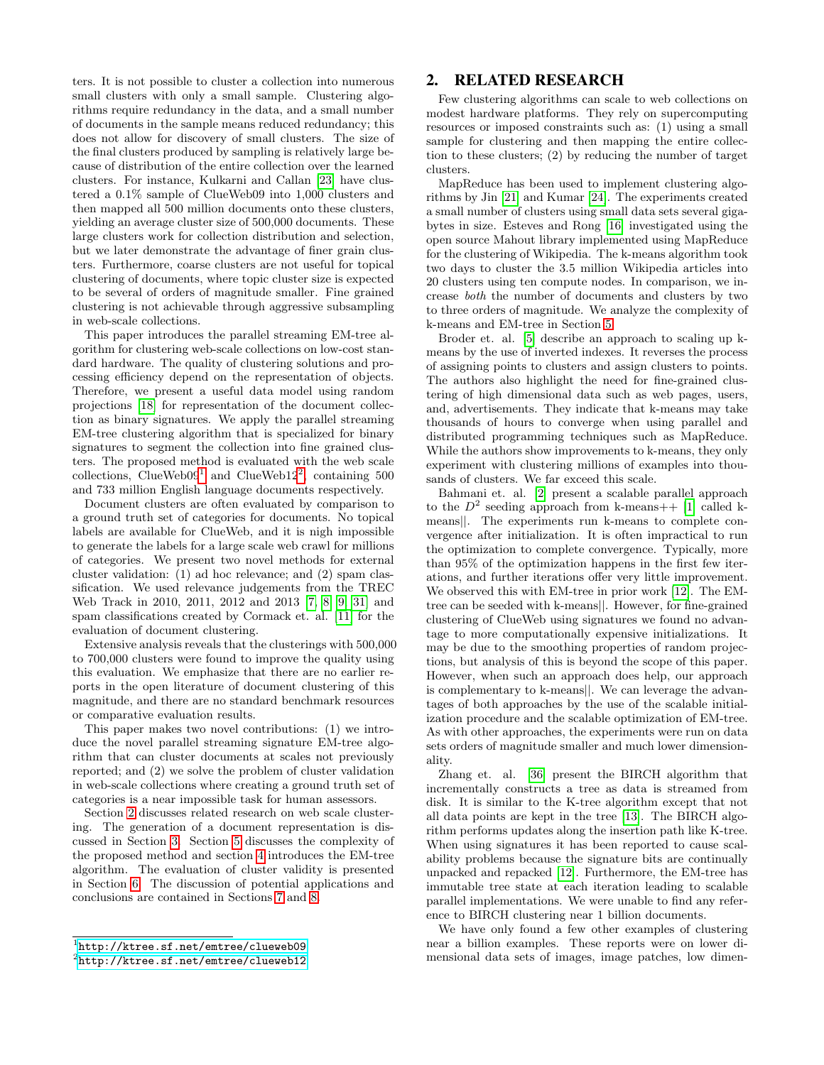ters. It is not possible to cluster a collection into numerous small clusters with only a small sample. Clustering algorithms require redundancy in the data, and a small number of documents in the sample means reduced redundancy; this does not allow for discovery of small clusters. The size of the final clusters produced by sampling is relatively large because of distribution of the entire collection over the learned clusters. For instance, Kulkarni and Callan [\[23\]](#page-10-0) have clustered a 0.1% sample of ClueWeb09 into 1,000 clusters and then mapped all 500 million documents onto these clusters, yielding an average cluster size of 500,000 documents. These large clusters work for collection distribution and selection, but we later demonstrate the advantage of finer grain clusters. Furthermore, coarse clusters are not useful for topical clustering of documents, where topic cluster size is expected to be several of orders of magnitude smaller. Fine grained clustering is not achievable through aggressive subsampling in web-scale collections.

This paper introduces the parallel streaming EM-tree algorithm for clustering web-scale collections on low-cost standard hardware. The quality of clustering solutions and processing efficiency depend on the representation of objects. Therefore, we present a useful data model using random projections [\[18\]](#page-10-1) for representation of the document collection as binary signatures. We apply the parallel streaming EM-tree clustering algorithm that is specialized for binary signatures to segment the collection into fine grained clusters. The proposed method is evaluated with the web scale collections,  $\text{ClueWeb09}^1$  $\text{ClueWeb09}^1$  and  $\text{ClueWeb12}^2$  $\text{ClueWeb12}^2$  $\text{ClueWeb12}^2$ , containing 500 and 733 million English language documents respectively.

Document clusters are often evaluated by comparison to a ground truth set of categories for documents. No topical labels are available for ClueWeb, and it is nigh impossible to generate the labels for a large scale web crawl for millions of categories. We present two novel methods for external cluster validation: (1) ad hoc relevance; and (2) spam classification. We used relevance judgements from the TREC Web Track in 2010, 2011, 2012 and 2013 [\[7,](#page-10-2) [8,](#page-10-3) [9,](#page-10-4) [31\]](#page-10-5) and spam classifications created by Cormack et. al. [\[11\]](#page-10-6) for the evaluation of document clustering.

Extensive analysis reveals that the clusterings with 500,000 to 700,000 clusters were found to improve the quality using this evaluation. We emphasize that there are no earlier reports in the open literature of document clustering of this magnitude, and there are no standard benchmark resources or comparative evaluation results.

This paper makes two novel contributions: (1) we introduce the novel parallel streaming signature EM-tree algorithm that can cluster documents at scales not previously reported; and (2) we solve the problem of cluster validation in web-scale collections where creating a ground truth set of categories is a near impossible task for human assessors.

Section [2](#page-1-2) discusses related research on web scale clustering. The generation of a document representation is discussed in Section [3.](#page-2-0) Section [5](#page-4-0) discusses the complexity of the proposed method and section [4](#page-2-1) introduces the EM-tree algorithm. The evaluation of cluster validity is presented in Section [6.](#page-5-0) The discussion of potential applications and conclusions are contained in Sections [7](#page-8-0) and [8.](#page-9-0)

#### <span id="page-1-2"></span>2. RELATED RESEARCH

Few clustering algorithms can scale to web collections on modest hardware platforms. They rely on supercomputing resources or imposed constraints such as: (1) using a small sample for clustering and then mapping the entire collection to these clusters; (2) by reducing the number of target clusters.

MapReduce has been used to implement clustering algorithms by Jin [\[21\]](#page-10-7) and Kumar [\[24\]](#page-10-8). The experiments created a small number of clusters using small data sets several gigabytes in size. Esteves and Rong [\[16\]](#page-10-9) investigated using the open source Mahout library implemented using MapReduce for the clustering of Wikipedia. The k-means algorithm took two days to cluster the 3.5 million Wikipedia articles into 20 clusters using ten compute nodes. In comparison, we increase both the number of documents and clusters by two to three orders of magnitude. We analyze the complexity of k-means and EM-tree in Section [5.](#page-4-0)

Broder et. al. [\[5\]](#page-10-10) describe an approach to scaling up kmeans by the use of inverted indexes. It reverses the process of assigning points to clusters and assign clusters to points. The authors also highlight the need for fine-grained clustering of high dimensional data such as web pages, users, and, advertisements. They indicate that k-means may take thousands of hours to converge when using parallel and distributed programming techniques such as MapReduce. While the authors show improvements to k-means, they only experiment with clustering millions of examples into thousands of clusters. We far exceed this scale.

Bahmani et. al. [\[2\]](#page-9-1) present a scalable parallel approach to the  $D^2$  seeding approach from k-means + [\[1\]](#page-9-2) called kmeans||. The experiments run k-means to complete convergence after initialization. It is often impractical to run the optimization to complete convergence. Typically, more than 95% of the optimization happens in the first few iterations, and further iterations offer very little improvement. We observed this with EM-tree in prior work [\[12\]](#page-10-11). The EMtree can be seeded with k-means||. However, for fine-grained clustering of ClueWeb using signatures we found no advantage to more computationally expensive initializations. It may be due to the smoothing properties of random projections, but analysis of this is beyond the scope of this paper. However, when such an approach does help, our approach is complementary to k-means||. We can leverage the advantages of both approaches by the use of the scalable initialization procedure and the scalable optimization of EM-tree. As with other approaches, the experiments were run on data sets orders of magnitude smaller and much lower dimensionality.

Zhang et. al. [\[36\]](#page-10-12) present the BIRCH algorithm that incrementally constructs a tree as data is streamed from disk. It is similar to the K-tree algorithm except that not all data points are kept in the tree [\[13\]](#page-10-13). The BIRCH algorithm performs updates along the insertion path like K-tree. When using signatures it has been reported to cause scalability problems because the signature bits are continually unpacked and repacked [\[12\]](#page-10-11). Furthermore, the EM-tree has immutable tree state at each iteration leading to scalable parallel implementations. We were unable to find any reference to BIRCH clustering near 1 billion documents.

We have only found a few other examples of clustering near a billion examples. These reports were on lower dimensional data sets of images, image patches, low dimen-

<span id="page-1-0"></span><sup>1</sup> <http://ktree.sf.net/emtree/clueweb09>

<span id="page-1-1"></span> $^{2}$ <http://ktree.sf.net/emtree/clueweb12>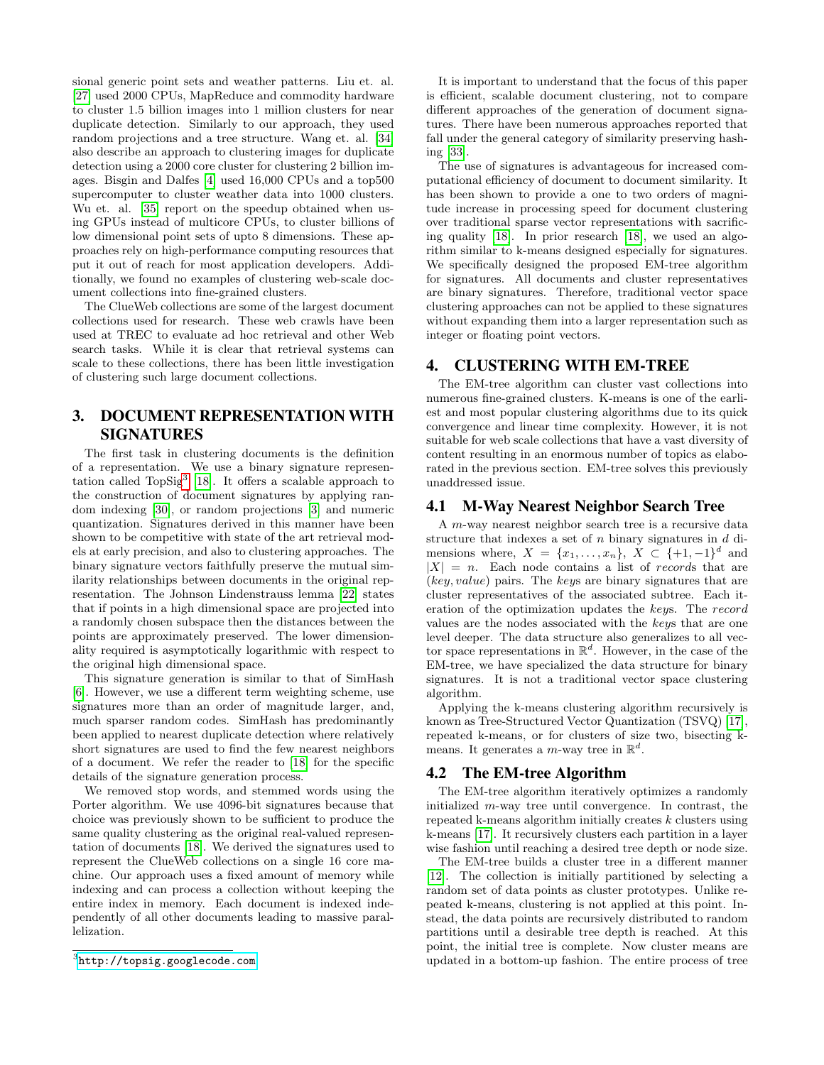sional generic point sets and weather patterns. Liu et. al. [\[27\]](#page-10-14) used 2000 CPUs, MapReduce and commodity hardware to cluster 1.5 billion images into 1 million clusters for near duplicate detection. Similarly to our approach, they used random projections and a tree structure. Wang et. al. [\[34\]](#page-10-15) also describe an approach to clustering images for duplicate detection using a 2000 core cluster for clustering 2 billion images. Bisgin and Dalfes [\[4\]](#page-10-16) used 16,000 CPUs and a top500 supercomputer to cluster weather data into 1000 clusters. Wu et. al. [\[35\]](#page-10-17) report on the speedup obtained when using GPUs instead of multicore CPUs, to cluster billions of low dimensional point sets of upto 8 dimensions. These approaches rely on high-performance computing resources that put it out of reach for most application developers. Additionally, we found no examples of clustering web-scale document collections into fine-grained clusters.

The ClueWeb collections are some of the largest document collections used for research. These web crawls have been used at TREC to evaluate ad hoc retrieval and other Web search tasks. While it is clear that retrieval systems can scale to these collections, there has been little investigation of clustering such large document collections.

# <span id="page-2-0"></span>3. DOCUMENT REPRESENTATION WITH SIGNATURES

The first task in clustering documents is the definition of a representation. We use a binary signature representation called  $TopSig^3$  $TopSig^3$  [\[18\]](#page-10-1). It offers a scalable approach to the construction of document signatures by applying random indexing [\[30\]](#page-10-18), or random projections [\[3\]](#page-9-3) and numeric quantization. Signatures derived in this manner have been shown to be competitive with state of the art retrieval models at early precision, and also to clustering approaches. The binary signature vectors faithfully preserve the mutual similarity relationships between documents in the original representation. The Johnson Lindenstrauss lemma [\[22\]](#page-10-19) states that if points in a high dimensional space are projected into a randomly chosen subspace then the distances between the points are approximately preserved. The lower dimensionality required is asymptotically logarithmic with respect to the original high dimensional space.

This signature generation is similar to that of SimHash [\[6\]](#page-10-20). However, we use a different term weighting scheme, use signatures more than an order of magnitude larger, and, much sparser random codes. SimHash has predominantly been applied to nearest duplicate detection where relatively short signatures are used to find the few nearest neighbors of a document. We refer the reader to [\[18\]](#page-10-1) for the specific details of the signature generation process.

We removed stop words, and stemmed words using the Porter algorithm. We use 4096-bit signatures because that choice was previously shown to be sufficient to produce the same quality clustering as the original real-valued representation of documents [\[18\]](#page-10-1). We derived the signatures used to represent the ClueWeb collections on a single 16 core machine. Our approach uses a fixed amount of memory while indexing and can process a collection without keeping the entire index in memory. Each document is indexed independently of all other documents leading to massive parallelization.

It is important to understand that the focus of this paper is efficient, scalable document clustering, not to compare different approaches of the generation of document signatures. There have been numerous approaches reported that fall under the general category of similarity preserving hashing [\[33\]](#page-10-21).

The use of signatures is advantageous for increased computational efficiency of document to document similarity. It has been shown to provide a one to two orders of magnitude increase in processing speed for document clustering over traditional sparse vector representations with sacrificing quality [\[18\]](#page-10-1). In prior research [\[18\]](#page-10-1), we used an algorithm similar to k-means designed especially for signatures. We specifically designed the proposed EM-tree algorithm for signatures. All documents and cluster representatives are binary signatures. Therefore, traditional vector space clustering approaches can not be applied to these signatures without expanding them into a larger representation such as integer or floating point vectors.

# <span id="page-2-1"></span>4. CLUSTERING WITH EM-TREE

The EM-tree algorithm can cluster vast collections into numerous fine-grained clusters. K-means is one of the earliest and most popular clustering algorithms due to its quick convergence and linear time complexity. However, it is not suitable for web scale collections that have a vast diversity of content resulting in an enormous number of topics as elaborated in the previous section. EM-tree solves this previously unaddressed issue.

#### 4.1 M-Way Nearest Neighbor Search Tree

A m-way nearest neighbor search tree is a recursive data structure that indexes a set of  $n$  binary signatures in  $d$  dimensions where,  $X = \{x_1, ..., x_n\}$ ,  $X \subset \{+1, -1\}^d$  and  $|X| = n$ . Each node contains a list of records that are (key, value) pairs. The keys are binary signatures that are cluster representatives of the associated subtree. Each iteration of the optimization updates the keys. The record values are the nodes associated with the keys that are one level deeper. The data structure also generalizes to all vector space representations in  $\mathbb{R}^d$ . However, in the case of the EM-tree, we have specialized the data structure for binary signatures. It is not a traditional vector space clustering algorithm.

Applying the k-means clustering algorithm recursively is known as Tree-Structured Vector Quantization (TSVQ) [\[17\]](#page-10-22), repeated k-means, or for clusters of size two, bisecting kmeans. It generates a m-way tree in  $\mathbb{R}^d$ .

#### 4.2 The EM-tree Algorithm

The EM-tree algorithm iteratively optimizes a randomly initialized m-way tree until convergence. In contrast, the repeated k-means algorithm initially creates k clusters using k-means [\[17\]](#page-10-22). It recursively clusters each partition in a layer wise fashion until reaching a desired tree depth or node size.

The EM-tree builds a cluster tree in a different manner [\[12\]](#page-10-11). The collection is initially partitioned by selecting a random set of data points as cluster prototypes. Unlike repeated k-means, clustering is not applied at this point. Instead, the data points are recursively distributed to random partitions until a desirable tree depth is reached. At this point, the initial tree is complete. Now cluster means are updated in a bottom-up fashion. The entire process of tree

<span id="page-2-2"></span> $^3$ <http://topsig.googlecode.com>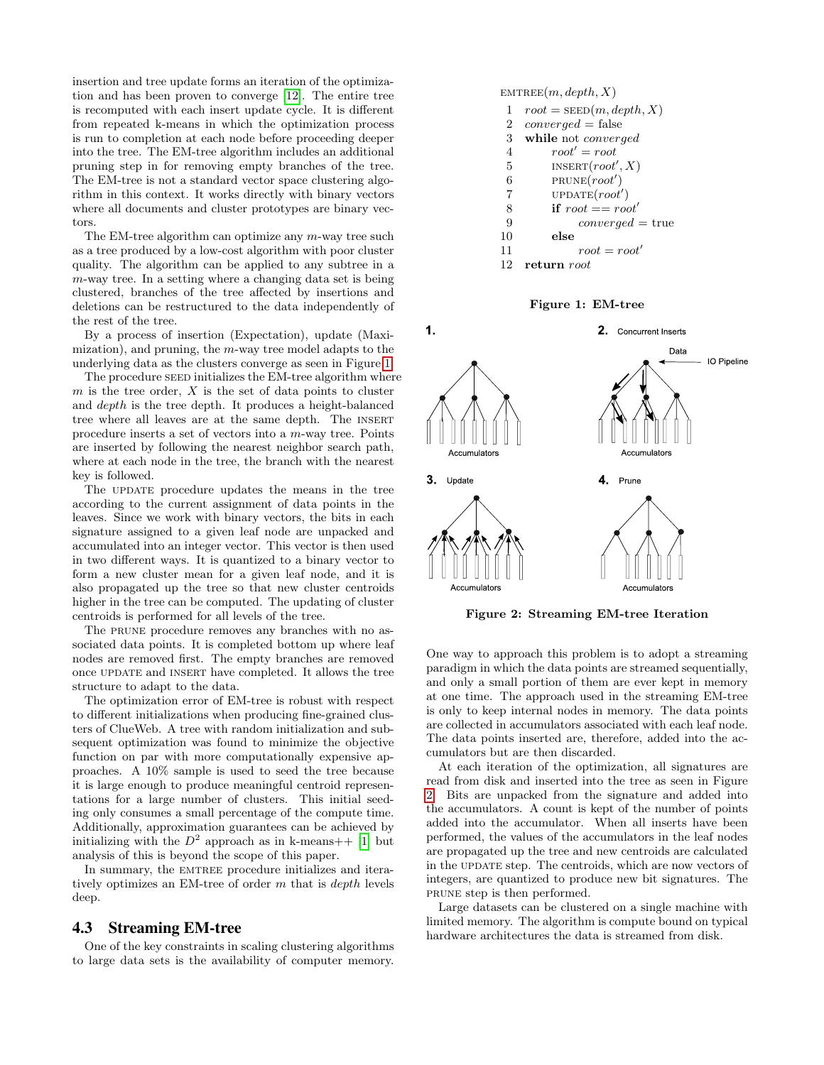insertion and tree update forms an iteration of the optimization and has been proven to converge [\[12\]](#page-10-11). The entire tree is recomputed with each insert update cycle. It is different from repeated k-means in which the optimization process is run to completion at each node before proceeding deeper into the tree. The EM-tree algorithm includes an additional pruning step in for removing empty branches of the tree. The EM-tree is not a standard vector space clustering algorithm in this context. It works directly with binary vectors where all documents and cluster prototypes are binary vectors.

The EM-tree algorithm can optimize any  $m$ -way tree such as a tree produced by a low-cost algorithm with poor cluster quality. The algorithm can be applied to any subtree in a  $m$ -way tree. In a setting where a changing data set is being clustered, branches of the tree affected by insertions and deletions can be restructured to the data independently of the rest of the tree.

By a process of insertion (Expectation), update (Maximization), and pruning, the m-way tree model adapts to the underlying data as the clusters converge as seen in Figure [1.](#page-3-0)

The procedure seed initializes the EM-tree algorithm where  $m$  is the tree order,  $X$  is the set of data points to cluster and depth is the tree depth. It produces a height-balanced tree where all leaves are at the same depth. The INSERT procedure inserts a set of vectors into a m-way tree. Points are inserted by following the nearest neighbor search path, where at each node in the tree, the branch with the nearest key is followed.

The UPDATE procedure updates the means in the tree according to the current assignment of data points in the leaves. Since we work with binary vectors, the bits in each signature assigned to a given leaf node are unpacked and accumulated into an integer vector. This vector is then used in two different ways. It is quantized to a binary vector to form a new cluster mean for a given leaf node, and it is also propagated up the tree so that new cluster centroids higher in the tree can be computed. The updating of cluster centroids is performed for all levels of the tree.

The PRUNE procedure removes any branches with no associated data points. It is completed bottom up where leaf nodes are removed first. The empty branches are removed once UPDATE and INSERT have completed. It allows the tree structure to adapt to the data.

The optimization error of EM-tree is robust with respect to different initializations when producing fine-grained clusters of ClueWeb. A tree with random initialization and subsequent optimization was found to minimize the objective function on par with more computationally expensive approaches. A 10% sample is used to seed the tree because it is large enough to produce meaningful centroid representations for a large number of clusters. This initial seeding only consumes a small percentage of the compute time. Additionally, approximation guarantees can be achieved by initializing with the  $D^2$  approach as in k-means++ [\[1\]](#page-9-2) but analysis of this is beyond the scope of this paper.

In summary, the EMTREE procedure initializes and iteratively optimizes an EM-tree of order m that is depth levels deep.

#### 4.3 Streaming EM-tree

One of the key constraints in scaling clustering algorithms to large data sets is the availability of computer memory.



12 return root

#### <span id="page-3-0"></span>Figure 1: EM-tree



<span id="page-3-1"></span>Figure 2: Streaming EM-tree Iteration

One way to approach this problem is to adopt a streaming paradigm in which the data points are streamed sequentially, and only a small portion of them are ever kept in memory at one time. The approach used in the streaming EM-tree is only to keep internal nodes in memory. The data points are collected in accumulators associated with each leaf node. The data points inserted are, therefore, added into the accumulators but are then discarded.

At each iteration of the optimization, all signatures are read from disk and inserted into the tree as seen in Figure [2.](#page-3-1) Bits are unpacked from the signature and added into the accumulators. A count is kept of the number of points added into the accumulator. When all inserts have been performed, the values of the accumulators in the leaf nodes are propagated up the tree and new centroids are calculated in the UPDATE step. The centroids, which are now vectors of integers, are quantized to produce new bit signatures. The prune step is then performed.

Large datasets can be clustered on a single machine with limited memory. The algorithm is compute bound on typical hardware architectures the data is streamed from disk.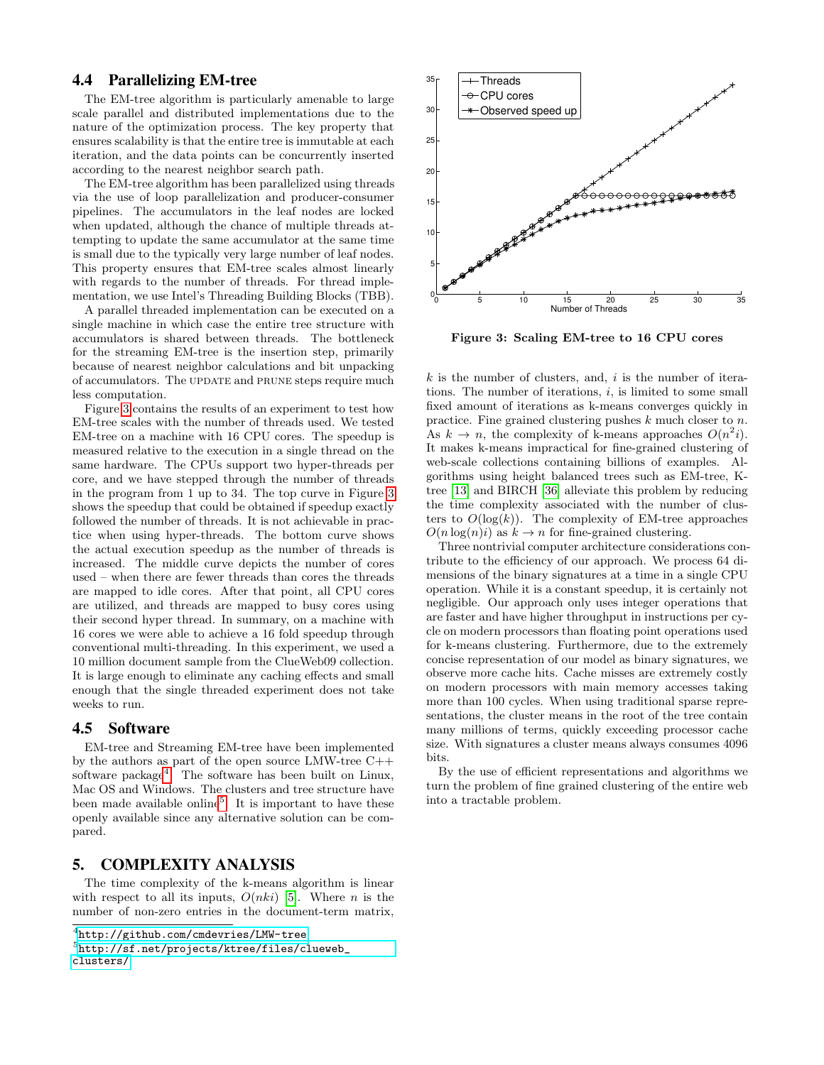#### 4.4 Parallelizing EM-tree

The EM-tree algorithm is particularly amenable to large scale parallel and distributed implementations due to the nature of the optimization process. The key property that ensures scalability is that the entire tree is immutable at each iteration, and the data points can be concurrently inserted according to the nearest neighbor search path.

The EM-tree algorithm has been parallelized using threads via the use of loop parallelization and producer-consumer pipelines. The accumulators in the leaf nodes are locked when updated, although the chance of multiple threads attempting to update the same accumulator at the same time is small due to the typically very large number of leaf nodes. This property ensures that EM-tree scales almost linearly with regards to the number of threads. For thread implementation, we use Intel's Threading Building Blocks (TBB).

A parallel threaded implementation can be executed on a single machine in which case the entire tree structure with accumulators is shared between threads. The bottleneck for the streaming EM-tree is the insertion step, primarily because of nearest neighbor calculations and bit unpacking of accumulators. The UPDATE and PRUNE steps require much less computation.

Figure [3](#page-4-1) contains the results of an experiment to test how EM-tree scales with the number of threads used. We tested EM-tree on a machine with 16 CPU cores. The speedup is measured relative to the execution in a single thread on the same hardware. The CPUs support two hyper-threads per core, and we have stepped through the number of threads in the program from 1 up to 34. The top curve in Figure [3](#page-4-1) shows the speedup that could be obtained if speedup exactly followed the number of threads. It is not achievable in practice when using hyper-threads. The bottom curve shows the actual execution speedup as the number of threads is increased. The middle curve depicts the number of cores used – when there are fewer threads than cores the threads are mapped to idle cores. After that point, all CPU cores are utilized, and threads are mapped to busy cores using their second hyper thread. In summary, on a machine with 16 cores we were able to achieve a 16 fold speedup through conventional multi-threading. In this experiment, we used a 10 million document sample from the ClueWeb09 collection. It is large enough to eliminate any caching effects and small enough that the single threaded experiment does not take weeks to run.

#### 4.5 Software

EM-tree and Streaming EM-tree have been implemented by the authors as part of the open source LMW-tree C++ software package<sup>[4](#page-4-2)</sup>. The software has been built on Linux, Mac OS and Windows. The clusters and tree structure have been made available online<sup>[5](#page-4-3)</sup>. It is important to have these openly available since any alternative solution can be compared.

# <span id="page-4-0"></span>5. COMPLEXITY ANALYSIS

The time complexity of the k-means algorithm is linear with respect to all its inputs,  $O(nki)$  [\[5\]](#page-10-10). Where *n* is the number of non-zero entries in the document-term matrix,



<span id="page-4-1"></span>Figure 3: Scaling EM-tree to 16 CPU cores

 $k$  is the number of clusters, and,  $i$  is the number of iterations. The number of iterations,  $i$ , is limited to some small fixed amount of iterations as k-means converges quickly in practice. Fine grained clustering pushes  $k$  much closer to  $n$ . As  $k \to n$ , the complexity of k-means approaches  $O(n^2i)$ . It makes k-means impractical for fine-grained clustering of web-scale collections containing billions of examples. Algorithms using height balanced trees such as EM-tree, Ktree [\[13\]](#page-10-13) and BIRCH [\[36\]](#page-10-12) alleviate this problem by reducing the time complexity associated with the number of clusters to  $O(\log(k))$ . The complexity of EM-tree approaches  $O(n \log(n)i)$  as  $k \to n$  for fine-grained clustering.

Three nontrivial computer architecture considerations contribute to the efficiency of our approach. We process 64 dimensions of the binary signatures at a time in a single CPU operation. While it is a constant speedup, it is certainly not negligible. Our approach only uses integer operations that are faster and have higher throughput in instructions per cycle on modern processors than floating point operations used for k-means clustering. Furthermore, due to the extremely concise representation of our model as binary signatures, we observe more cache hits. Cache misses are extremely costly on modern processors with main memory accesses taking more than 100 cycles. When using traditional sparse representations, the cluster means in the root of the tree contain many millions of terms, quickly exceeding processor cache size. With signatures a cluster means always consumes 4096 bits.

By the use of efficient representations and algorithms we turn the problem of fine grained clustering of the entire web into a tractable problem.

<span id="page-4-2"></span><sup>4</sup> <http://github.com/cmdevries/LMW-tree>

<span id="page-4-3"></span><sup>5</sup> [http://sf.net/projects/ktree/files/clueweb\\_](http://sf.net/projects/ktree/files/clueweb_clusters/) [clusters/](http://sf.net/projects/ktree/files/clueweb_clusters/)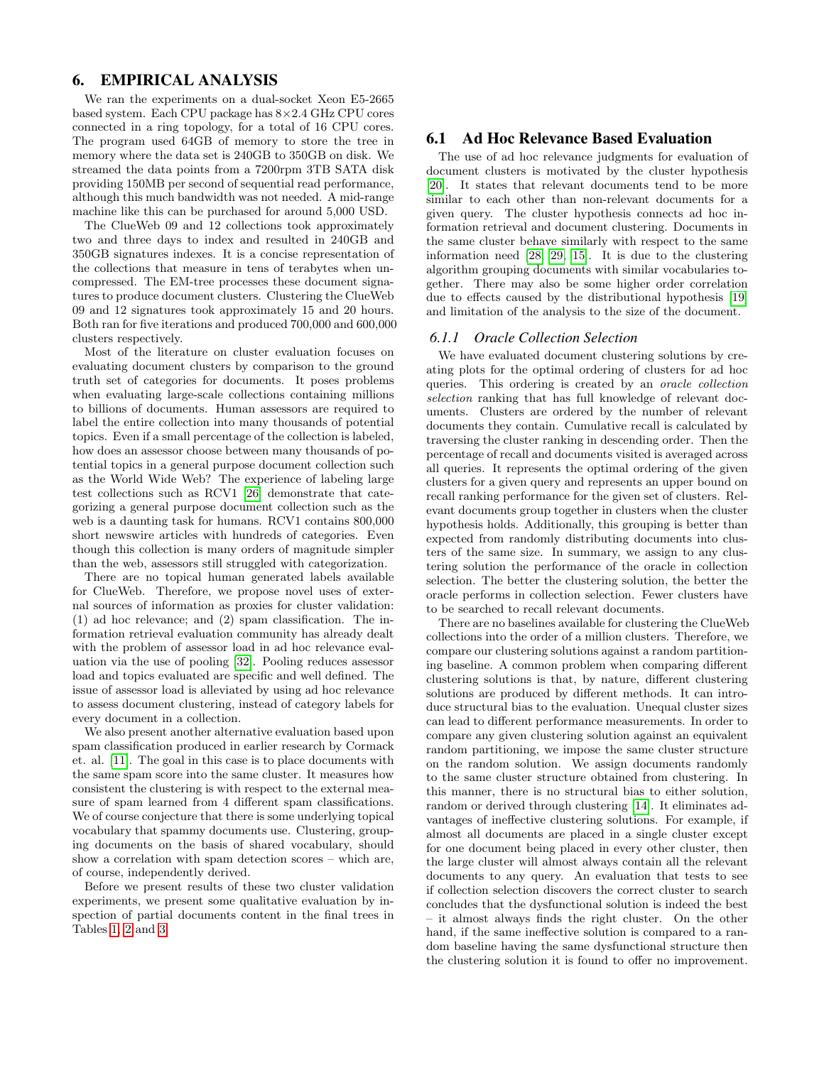# <span id="page-5-0"></span>6. EMPIRICAL ANALYSIS

We ran the experiments on a dual-socket Xeon E5-2665 based system. Each CPU package has 8×2.4 GHz CPU cores connected in a ring topology, for a total of 16 CPU cores. The program used 64GB of memory to store the tree in memory where the data set is 240GB to 350GB on disk. We streamed the data points from a 7200rpm 3TB SATA disk providing 150MB per second of sequential read performance, although this much bandwidth was not needed. A mid-range machine like this can be purchased for around 5,000 USD.

The ClueWeb 09 and 12 collections took approximately two and three days to index and resulted in 240GB and 350GB signatures indexes. It is a concise representation of the collections that measure in tens of terabytes when uncompressed. The EM-tree processes these document signatures to produce document clusters. Clustering the ClueWeb 09 and 12 signatures took approximately 15 and 20 hours. Both ran for five iterations and produced 700,000 and 600,000 clusters respectively.

Most of the literature on cluster evaluation focuses on evaluating document clusters by comparison to the ground truth set of categories for documents. It poses problems when evaluating large-scale collections containing millions to billions of documents. Human assessors are required to label the entire collection into many thousands of potential topics. Even if a small percentage of the collection is labeled, how does an assessor choose between many thousands of potential topics in a general purpose document collection such as the World Wide Web? The experience of labeling large test collections such as RCV1 [\[26\]](#page-10-23) demonstrate that categorizing a general purpose document collection such as the web is a daunting task for humans. RCV1 contains 800,000 short newswire articles with hundreds of categories. Even though this collection is many orders of magnitude simpler than the web, assessors still struggled with categorization.

There are no topical human generated labels available for ClueWeb. Therefore, we propose novel uses of external sources of information as proxies for cluster validation: (1) ad hoc relevance; and (2) spam classification. The information retrieval evaluation community has already dealt with the problem of assessor load in ad hoc relevance evaluation via the use of pooling [\[32\]](#page-10-24). Pooling reduces assessor load and topics evaluated are specific and well defined. The issue of assessor load is alleviated by using ad hoc relevance to assess document clustering, instead of category labels for every document in a collection.

We also present another alternative evaluation based upon spam classification produced in earlier research by Cormack et. al. [\[11\]](#page-10-6). The goal in this case is to place documents with the same spam score into the same cluster. It measures how consistent the clustering is with respect to the external measure of spam learned from 4 different spam classifications. We of course conjecture that there is some underlying topical vocabulary that spammy documents use. Clustering, grouping documents on the basis of shared vocabulary, should show a correlation with spam detection scores – which are, of course, independently derived.

Before we present results of these two cluster validation experiments, we present some qualitative evaluation by inspection of partial documents content in the final trees in Tables [1,](#page-6-0) [2](#page-6-1) and [3.](#page-7-0)

#### <span id="page-5-1"></span>6.1 Ad Hoc Relevance Based Evaluation

The use of ad hoc relevance judgments for evaluation of document clusters is motivated by the cluster hypothesis [\[20\]](#page-10-25). It states that relevant documents tend to be more similar to each other than non-relevant documents for a given query. The cluster hypothesis connects ad hoc information retrieval and document clustering. Documents in the same cluster behave similarly with respect to the same information need [\[28,](#page-10-26) [29,](#page-10-27) [15\]](#page-10-28). It is due to the clustering algorithm grouping documents with similar vocabularies together. There may also be some higher order correlation due to effects caused by the distributional hypothesis [\[19\]](#page-10-29) and limitation of the analysis to the size of the document.

#### *6.1.1 Oracle Collection Selection*

We have evaluated document clustering solutions by creating plots for the optimal ordering of clusters for ad hoc queries. This ordering is created by an oracle collection selection ranking that has full knowledge of relevant documents. Clusters are ordered by the number of relevant documents they contain. Cumulative recall is calculated by traversing the cluster ranking in descending order. Then the percentage of recall and documents visited is averaged across all queries. It represents the optimal ordering of the given clusters for a given query and represents an upper bound on recall ranking performance for the given set of clusters. Relevant documents group together in clusters when the cluster hypothesis holds. Additionally, this grouping is better than expected from randomly distributing documents into clusters of the same size. In summary, we assign to any clustering solution the performance of the oracle in collection selection. The better the clustering solution, the better the oracle performs in collection selection. Fewer clusters have to be searched to recall relevant documents.

There are no baselines available for clustering the ClueWeb collections into the order of a million clusters. Therefore, we compare our clustering solutions against a random partitioning baseline. A common problem when comparing different clustering solutions is that, by nature, different clustering solutions are produced by different methods. It can introduce structural bias to the evaluation. Unequal cluster sizes can lead to different performance measurements. In order to compare any given clustering solution against an equivalent random partitioning, we impose the same cluster structure on the random solution. We assign documents randomly to the same cluster structure obtained from clustering. In this manner, there is no structural bias to either solution, random or derived through clustering [\[14\]](#page-10-30). It eliminates advantages of ineffective clustering solutions. For example, if almost all documents are placed in a single cluster except for one document being placed in every other cluster, then the large cluster will almost always contain all the relevant documents to any query. An evaluation that tests to see if collection selection discovers the correct cluster to search concludes that the dysfunctional solution is indeed the best – it almost always finds the right cluster. On the other hand, if the same ineffective solution is compared to a random baseline having the same dysfunctional structure then the clustering solution it is found to offer no improvement.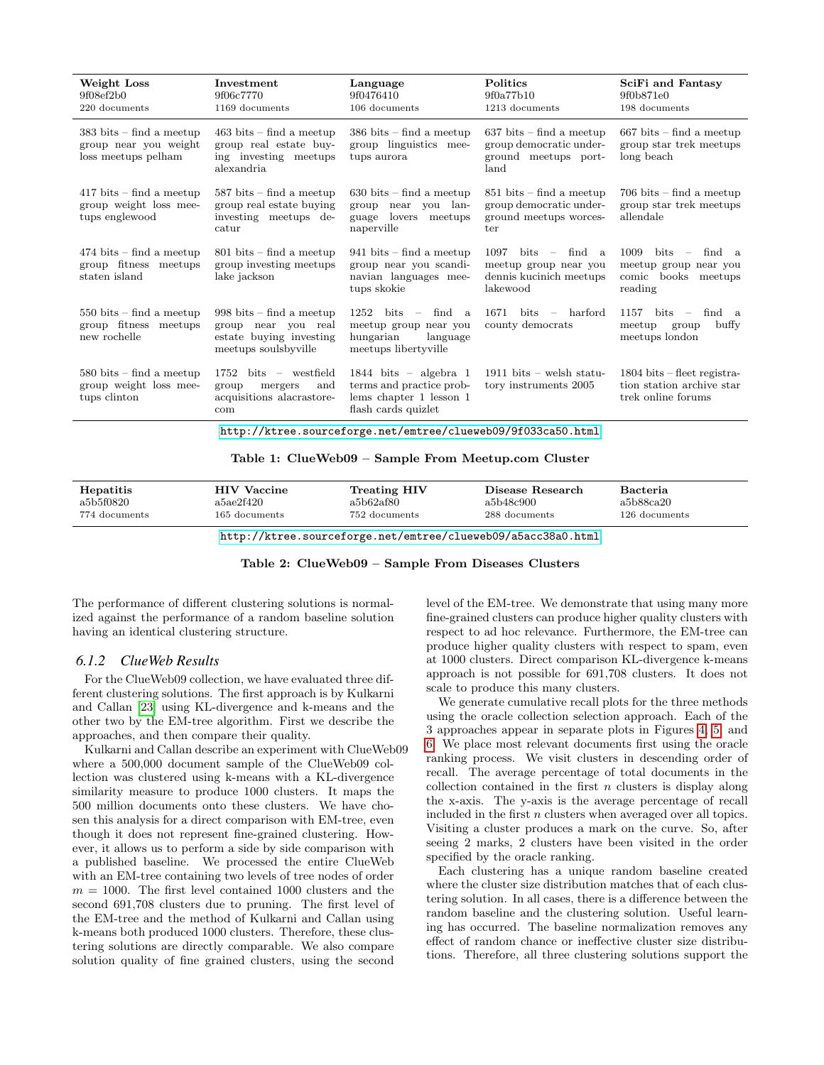| Weight Loss<br>9f08ef2b0<br>220 documents                                                 | Investment<br>9f06c7770<br>1169 documents                                                                  | Language<br>9f0476410<br>106 documents                                                                          | <b>Politics</b><br>9f0a77b10<br>1213 documents                                                       | SciFi and Fantasy<br>9f0b871e0<br>198 documents                                                                         |
|-------------------------------------------------------------------------------------------|------------------------------------------------------------------------------------------------------------|-----------------------------------------------------------------------------------------------------------------|------------------------------------------------------------------------------------------------------|-------------------------------------------------------------------------------------------------------------------------|
| $383 \text{ bits} - \text{find a meetup}$<br>group near you weight<br>loss meetups pelham | $463 \text{ bits} - \text{find a meetup}$<br>group real estate buy-<br>ing investing meetups<br>alexandria | $386$ bits – find a meetup<br>group linguistics mee-<br>tups aurora                                             | $637 \text{ bits} - \text{find a meetup}$<br>group democratic under-<br>ground meetups port-<br>land | $667$ bits – find a meetup<br>group star trek meetups<br>long beach                                                     |
| $417 \text{ bits} - \text{find a meetup}$<br>group weight loss mee-<br>tups englewood     | $587$ bits – find a meetup<br>group real estate buying<br>investing meetups de-<br>catur                   | $630 \text{ bits} - \text{find a meetup}$<br>near you lan-<br>group<br>lovers<br>guage<br>meetups<br>naperville | $851$ bits – find a meetup<br>group democratic under-<br>ground meetups worces-<br>ter               | $706 \text{ bits} - \text{find a meetup}$<br>group star trek meetups<br>allendale                                       |
| $474 \text{ bits} - \text{find a meetup}$<br>group fitness meetups<br>staten island       | $801$ bits – find a meetup<br>group investing meetups<br>lake jackson                                      | $941$ bits – find a meetup<br>group near you scandi-<br>navian languages mee-<br>tups skokie                    | $1097$ bits $-$ find a<br>meetup group near you<br>dennis kucinich meetups<br>lakewood               | 1009<br><b>bits</b><br>find a<br>$\overline{\phantom{a}}$<br>meetup group near you<br>comic books<br>meetups<br>reading |
| $550$ bits – find a meetup<br>group fitness meetups<br>new rochelle                       | $998$ bits – find a meetup<br>group near you real<br>estate buying investing<br>meetups souls by ville     | $1252$ bits $-$ find a<br>meetup group near you<br>hungarian<br>language<br>meetups libertyville                | $1671$ bits $-$ harford<br>county democrats                                                          | bits<br>1157<br>$\overline{\phantom{a}}$<br>find a<br>buffy<br>meetup<br>group<br>meetups london                        |
| $580 \text{ bits} - \text{find a meetup}$<br>group weight loss mee-<br>tups clinton       | $bits - westfield$<br>1752<br>and<br>mergers<br>group<br>acquisitions alacrastore-<br>com                  | $1844$ bits - algebra 1<br>terms and practice prob-<br>$lems$ chapter 1 lesson 1<br>flash cards quizlet         | $1911$ bits – welsh statu-<br>tory instruments 2005                                                  | $1804 \text{ bits} - \text{fleet registra}$<br>tion station archive star<br>trek online forums                          |

<http://ktree.sourceforge.net/emtree/clueweb09/9f033ca50.html>

<span id="page-6-0"></span>

| Hepatitis<br>Treating HIV<br><b>HIV</b> Vaccine<br>a5b5f0820<br>a5b62af80<br>a5ae2f420<br>774 documents<br>165 documents<br>752 documents | Disease Research<br>a5b48c900<br>288 documents | Bacteria<br>a5b88ca20<br>126 documents |
|-------------------------------------------------------------------------------------------------------------------------------------------|------------------------------------------------|----------------------------------------|
|-------------------------------------------------------------------------------------------------------------------------------------------|------------------------------------------------|----------------------------------------|

<http://ktree.sourceforge.net/emtree/clueweb09/a5acc38a0.html>

<span id="page-6-1"></span>

| Table 2: ClueWeb09 – Sample From Diseases Clusters |  |  |  |  |
|----------------------------------------------------|--|--|--|--|
|----------------------------------------------------|--|--|--|--|

The performance of different clustering solutions is normalized against the performance of a random baseline solution having an identical clustering structure.

#### *6.1.2 ClueWeb Results*

For the ClueWeb09 collection, we have evaluated three different clustering solutions. The first approach is by Kulkarni and Callan [\[23\]](#page-10-0) using KL-divergence and k-means and the other two by the EM-tree algorithm. First we describe the approaches, and then compare their quality.

Kulkarni and Callan describe an experiment with ClueWeb09 where a 500,000 document sample of the ClueWeb09 collection was clustered using k-means with a KL-divergence similarity measure to produce 1000 clusters. It maps the 500 million documents onto these clusters. We have chosen this analysis for a direct comparison with EM-tree, even though it does not represent fine-grained clustering. However, it allows us to perform a side by side comparison with a published baseline. We processed the entire ClueWeb with an EM-tree containing two levels of tree nodes of order  $m = 1000$ . The first level contained 1000 clusters and the second 691,708 clusters due to pruning. The first level of the EM-tree and the method of Kulkarni and Callan using k-means both produced 1000 clusters. Therefore, these clustering solutions are directly comparable. We also compare solution quality of fine grained clusters, using the second

level of the EM-tree. We demonstrate that using many more fine-grained clusters can produce higher quality clusters with respect to ad hoc relevance. Furthermore, the EM-tree can produce higher quality clusters with respect to spam, even at 1000 clusters. Direct comparison KL-divergence k-means approach is not possible for 691,708 clusters. It does not scale to produce this many clusters.

We generate cumulative recall plots for the three methods using the oracle collection selection approach. Each of the 3 approaches appear in separate plots in Figures [4,](#page-8-1) [5,](#page-8-2) and [6.](#page-8-3) We place most relevant documents first using the oracle ranking process. We visit clusters in descending order of recall. The average percentage of total documents in the collection contained in the first  $n$  clusters is display along the x-axis. The y-axis is the average percentage of recall included in the first n clusters when averaged over all topics. Visiting a cluster produces a mark on the curve. So, after seeing 2 marks, 2 clusters have been visited in the order specified by the oracle ranking.

Each clustering has a unique random baseline created where the cluster size distribution matches that of each clustering solution. In all cases, there is a difference between the random baseline and the clustering solution. Useful learning has occurred. The baseline normalization removes any effect of random chance or ineffective cluster size distributions. Therefore, all three clustering solutions support the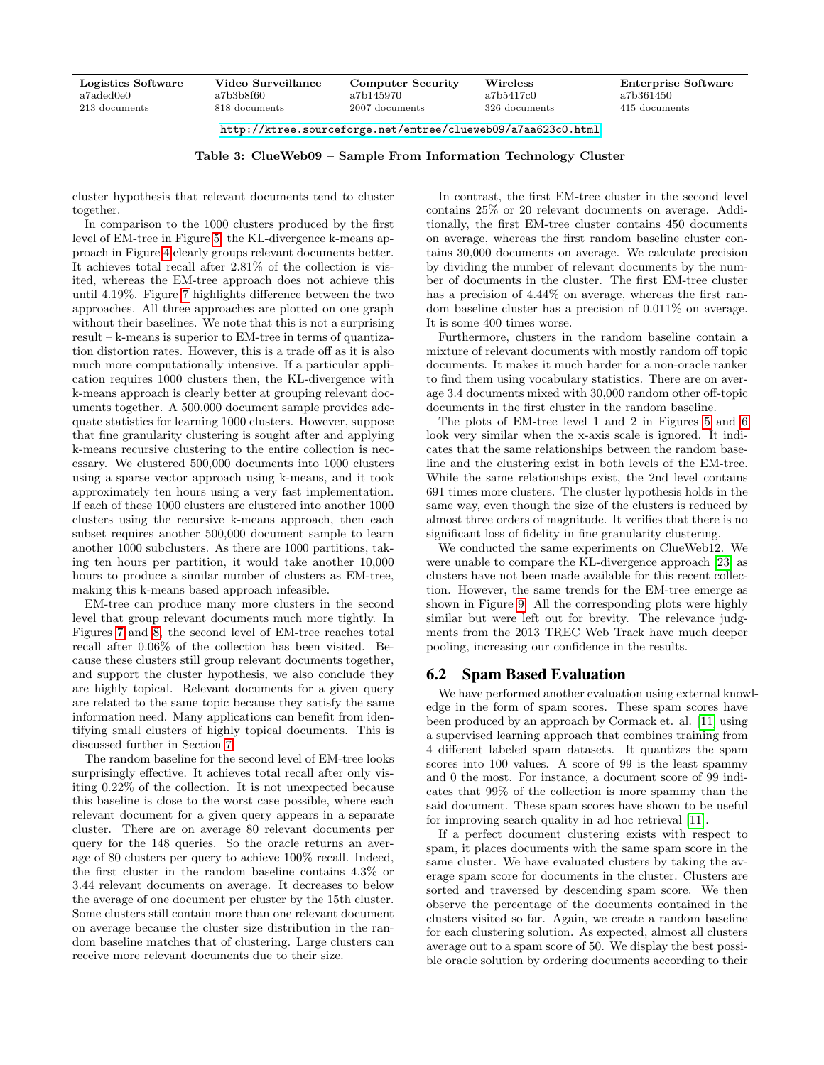| Logistics Software | Video Surveillance | <b>Computer Security</b> | Wireless      | Enterprise Software |
|--------------------|--------------------|--------------------------|---------------|---------------------|
| a7aded0e0          | a7b3b8f60          | a7b145970                | a7b5417c0     | a7b361450           |
| 213 documents      | 818 documents      | 2007 documents           | 326 documents | 415 documents       |

<span id="page-7-0"></span><http://ktree.sourceforge.net/emtree/clueweb09/a7aa623c0.html>

#### Table 3: ClueWeb09 – Sample From Information Technology Cluster

cluster hypothesis that relevant documents tend to cluster together.

In comparison to the 1000 clusters produced by the first level of EM-tree in Figure [5,](#page-8-2) the KL-divergence k-means approach in Figure [4](#page-8-1) clearly groups relevant documents better. It achieves total recall after 2.81% of the collection is visited, whereas the EM-tree approach does not achieve this until 4.19%. Figure [7](#page-8-4) highlights difference between the two approaches. All three approaches are plotted on one graph without their baselines. We note that this is not a surprising result – k-means is superior to EM-tree in terms of quantization distortion rates. However, this is a trade off as it is also much more computationally intensive. If a particular application requires 1000 clusters then, the KL-divergence with k-means approach is clearly better at grouping relevant documents together. A 500,000 document sample provides adequate statistics for learning 1000 clusters. However, suppose that fine granularity clustering is sought after and applying k-means recursive clustering to the entire collection is necessary. We clustered 500,000 documents into 1000 clusters using a sparse vector approach using k-means, and it took approximately ten hours using a very fast implementation. If each of these 1000 clusters are clustered into another 1000 clusters using the recursive k-means approach, then each subset requires another 500,000 document sample to learn another 1000 subclusters. As there are 1000 partitions, taking ten hours per partition, it would take another 10,000 hours to produce a similar number of clusters as EM-tree, making this k-means based approach infeasible.

EM-tree can produce many more clusters in the second level that group relevant documents much more tightly. In Figures [7](#page-8-4) and [8,](#page-8-5) the second level of EM-tree reaches total recall after 0.06% of the collection has been visited. Because these clusters still group relevant documents together, and support the cluster hypothesis, we also conclude they are highly topical. Relevant documents for a given query are related to the same topic because they satisfy the same information need. Many applications can benefit from identifying small clusters of highly topical documents. This is discussed further in Section [7.](#page-8-0)

The random baseline for the second level of EM-tree looks surprisingly effective. It achieves total recall after only visiting 0.22% of the collection. It is not unexpected because this baseline is close to the worst case possible, where each relevant document for a given query appears in a separate cluster. There are on average 80 relevant documents per query for the 148 queries. So the oracle returns an average of 80 clusters per query to achieve 100% recall. Indeed, the first cluster in the random baseline contains 4.3% or 3.44 relevant documents on average. It decreases to below the average of one document per cluster by the 15th cluster. Some clusters still contain more than one relevant document on average because the cluster size distribution in the random baseline matches that of clustering. Large clusters can receive more relevant documents due to their size.

In contrast, the first EM-tree cluster in the second level contains 25% or 20 relevant documents on average. Additionally, the first EM-tree cluster contains 450 documents on average, whereas the first random baseline cluster contains 30,000 documents on average. We calculate precision by dividing the number of relevant documents by the number of documents in the cluster. The first EM-tree cluster has a precision of  $4.44\%$  on average, whereas the first random baseline cluster has a precision of 0.011% on average. It is some 400 times worse.

Furthermore, clusters in the random baseline contain a mixture of relevant documents with mostly random off topic documents. It makes it much harder for a non-oracle ranker to find them using vocabulary statistics. There are on average 3.4 documents mixed with 30,000 random other off-topic documents in the first cluster in the random baseline.

The plots of EM-tree level 1 and 2 in Figures [5](#page-8-2) and [6](#page-8-3) look very similar when the x-axis scale is ignored. It indicates that the same relationships between the random baseline and the clustering exist in both levels of the EM-tree. While the same relationships exist, the 2nd level contains 691 times more clusters. The cluster hypothesis holds in the same way, even though the size of the clusters is reduced by almost three orders of magnitude. It verifies that there is no significant loss of fidelity in fine granularity clustering.

We conducted the same experiments on ClueWeb12. We were unable to compare the KL-divergence approach [\[23\]](#page-10-0) as clusters have not been made available for this recent collection. However, the same trends for the EM-tree emerge as shown in Figure [9.](#page-8-6) All the corresponding plots were highly similar but were left out for brevity. The relevance judgments from the 2013 TREC Web Track have much deeper pooling, increasing our confidence in the results.

#### 6.2 Spam Based Evaluation

We have performed another evaluation using external knowledge in the form of spam scores. These spam scores have been produced by an approach by Cormack et. al. [\[11\]](#page-10-6) using a supervised learning approach that combines training from 4 different labeled spam datasets. It quantizes the spam scores into 100 values. A score of 99 is the least spammy and 0 the most. For instance, a document score of 99 indicates that 99% of the collection is more spammy than the said document. These spam scores have shown to be useful for improving search quality in ad hoc retrieval [\[11\]](#page-10-6).

If a perfect document clustering exists with respect to spam, it places documents with the same spam score in the same cluster. We have evaluated clusters by taking the average spam score for documents in the cluster. Clusters are sorted and traversed by descending spam score. We then observe the percentage of the documents contained in the clusters visited so far. Again, we create a random baseline for each clustering solution. As expected, almost all clusters average out to a spam score of 50. We display the best possible oracle solution by ordering documents according to their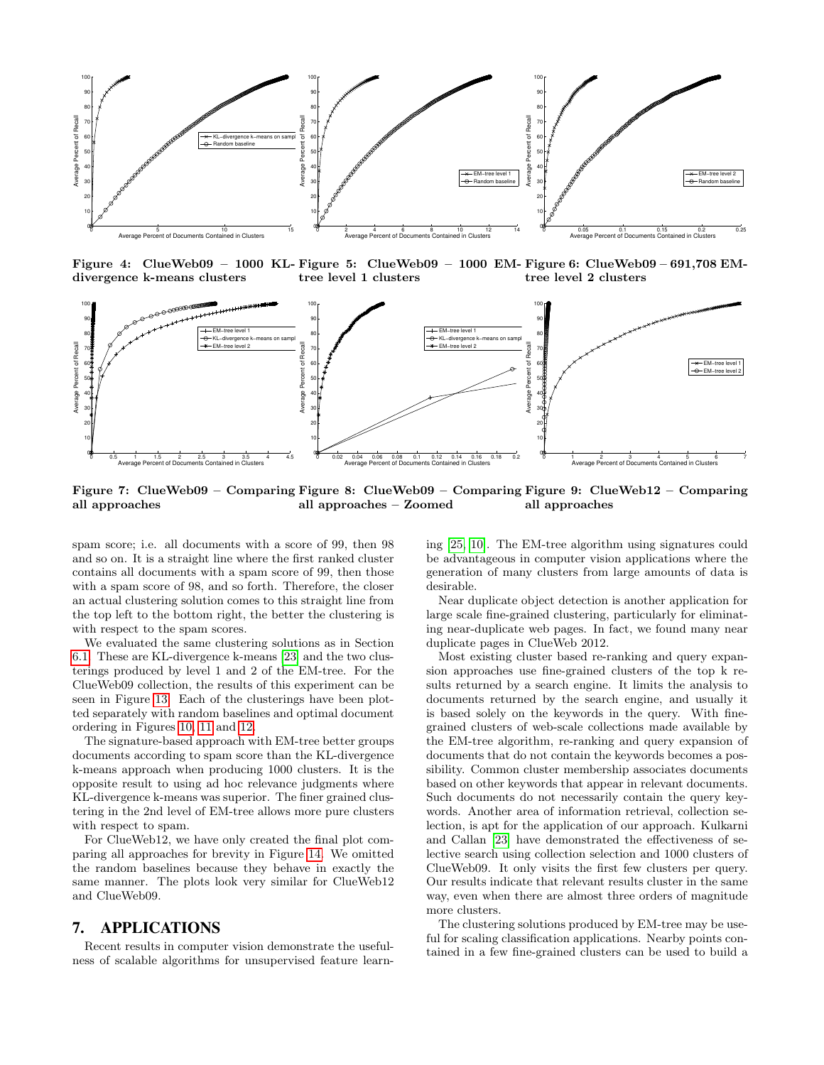

<span id="page-8-1"></span>Figure 4: ClueWeb09 – 1000 KL-Figure 5: ClueWeb09 – 1000 EM-Figure 6: ClueWeb09 – 691,708 EMdivergence k-means clusters tree level 1 clusters tree level 2 clusters



<span id="page-8-4"></span>Figure 7: ClueWeb09 – Comparing Figure 8: ClueWeb09 – Comparing Figure 9: ClueWeb12 – Comparing all approaches all approaches – Zoomed all approaches

spam score; i.e. all documents with a score of 99, then 98 and so on. It is a straight line where the first ranked cluster contains all documents with a spam score of 99, then those with a spam score of 98, and so forth. Therefore, the closer an actual clustering solution comes to this straight line from the top left to the bottom right, the better the clustering is with respect to the spam scores.

We evaluated the same clustering solutions as in Section [6.1.](#page-5-1) These are KL-divergence k-means [\[23\]](#page-10-0) and the two clusterings produced by level 1 and 2 of the EM-tree. For the ClueWeb09 collection, the results of this experiment can be seen in Figure [13.](#page-9-4) Each of the clusterings have been plotted separately with random baselines and optimal document ordering in Figures [10,](#page-9-5) [11](#page-9-6) and [12.](#page-9-7)

The signature-based approach with EM-tree better groups documents according to spam score than the KL-divergence k-means approach when producing 1000 clusters. It is the opposite result to using ad hoc relevance judgments where KL-divergence k-means was superior. The finer grained clustering in the 2nd level of EM-tree allows more pure clusters with respect to spam.

For ClueWeb12, we have only created the final plot comparing all approaches for brevity in Figure [14.](#page-9-8) We omitted the random baselines because they behave in exactly the same manner. The plots look very similar for ClueWeb12 and ClueWeb09.

### <span id="page-8-0"></span>7. APPLICATIONS

Recent results in computer vision demonstrate the usefulness of scalable algorithms for unsupervised feature learn<span id="page-8-6"></span><span id="page-8-5"></span><span id="page-8-3"></span><span id="page-8-2"></span>ing [\[25,](#page-10-31) [10\]](#page-10-32). The EM-tree algorithm using signatures could be advantageous in computer vision applications where the generation of many clusters from large amounts of data is desirable.

Near duplicate object detection is another application for large scale fine-grained clustering, particularly for eliminating near-duplicate web pages. In fact, we found many near duplicate pages in ClueWeb 2012.

Most existing cluster based re-ranking and query expansion approaches use fine-grained clusters of the top k results returned by a search engine. It limits the analysis to documents returned by the search engine, and usually it is based solely on the keywords in the query. With finegrained clusters of web-scale collections made available by the EM-tree algorithm, re-ranking and query expansion of documents that do not contain the keywords becomes a possibility. Common cluster membership associates documents based on other keywords that appear in relevant documents. Such documents do not necessarily contain the query keywords. Another area of information retrieval, collection selection, is apt for the application of our approach. Kulkarni and Callan [\[23\]](#page-10-0) have demonstrated the effectiveness of selective search using collection selection and 1000 clusters of ClueWeb09. It only visits the first few clusters per query. Our results indicate that relevant results cluster in the same way, even when there are almost three orders of magnitude more clusters.

The clustering solutions produced by EM-tree may be useful for scaling classification applications. Nearby points contained in a few fine-grained clusters can be used to build a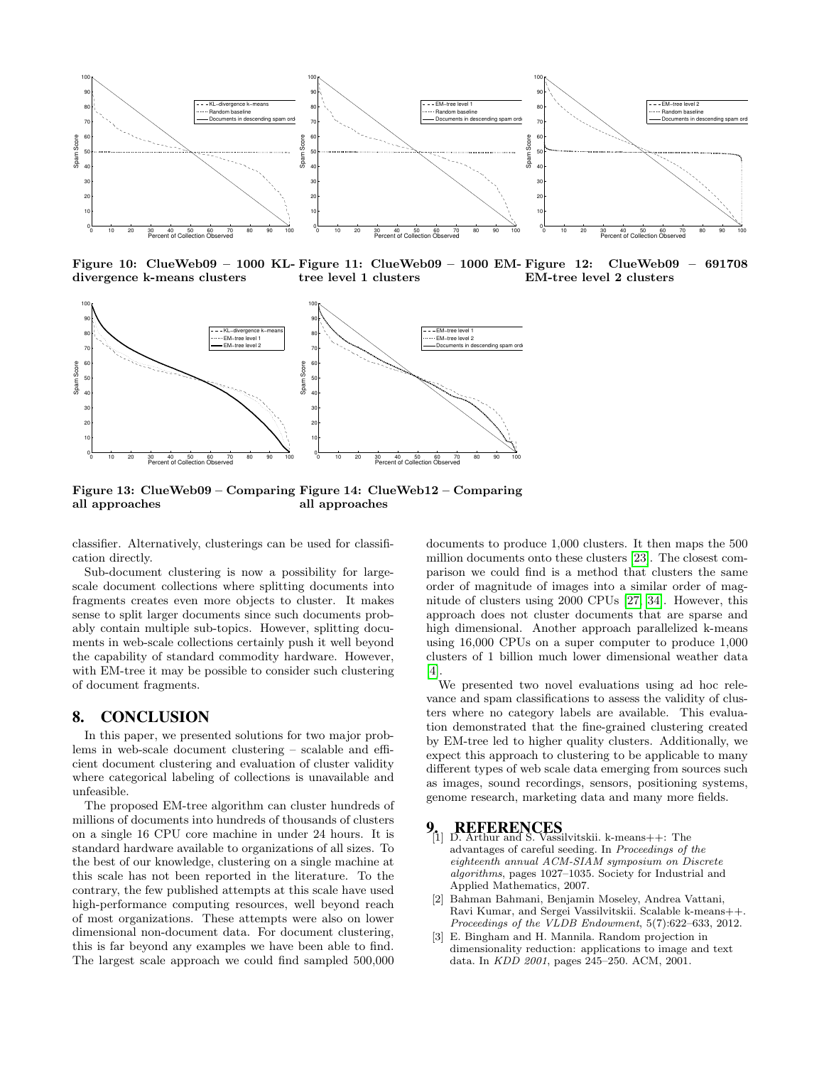

<span id="page-9-5"></span>Figure 10: ClueWeb09 – 1000 KL- Figure 11: ClueWeb09 – 1000 EM- Figure 12: ClueWeb09 – 691708 divergence k-means clusters tree level 1 clusters EM-tree level 2 clusters



<span id="page-9-4"></span>Figure 13: ClueWeb09 – Comparing Figure 14: ClueWeb12 – Comparing all approaches all approaches

classifier. Alternatively, clusterings can be used for classification directly.

Sub-document clustering is now a possibility for largescale document collections where splitting documents into fragments creates even more objects to cluster. It makes sense to split larger documents since such documents probably contain multiple sub-topics. However, splitting documents in web-scale collections certainly push it well beyond the capability of standard commodity hardware. However, with EM-tree it may be possible to consider such clustering of document fragments.

#### <span id="page-9-0"></span>8. CONCLUSION

In this paper, we presented solutions for two major problems in web-scale document clustering – scalable and efficient document clustering and evaluation of cluster validity where categorical labeling of collections is unavailable and unfeasible.

The proposed EM-tree algorithm can cluster hundreds of millions of documents into hundreds of thousands of clusters on a single 16 CPU core machine in under 24 hours. It is standard hardware available to organizations of all sizes. To the best of our knowledge, clustering on a single machine at this scale has not been reported in the literature. To the contrary, the few published attempts at this scale have used high-performance computing resources, well beyond reach of most organizations. These attempts were also on lower dimensional non-document data. For document clustering, this is far beyond any examples we have been able to find. The largest scale approach we could find sampled 500,000 <span id="page-9-8"></span><span id="page-9-7"></span><span id="page-9-6"></span>documents to produce 1,000 clusters. It then maps the 500 million documents onto these clusters [\[23\]](#page-10-0). The closest comparison we could find is a method that clusters the same order of magnitude of images into a similar order of magnitude of clusters using 2000 CPUs [\[27,](#page-10-14) [34\]](#page-10-15). However, this approach does not cluster documents that are sparse and high dimensional. Another approach parallelized k-means using 16,000 CPUs on a super computer to produce 1,000 clusters of 1 billion much lower dimensional weather data [\[4\]](#page-10-16).

We presented two novel evaluations using ad hoc relevance and spam classifications to assess the validity of clusters where no category labels are available. This evaluation demonstrated that the fine-grained clustering created by EM-tree led to higher quality clusters. Additionally, we expect this approach to clustering to be applicable to many different types of web scale data emerging from sources such as images, sound recordings, sensors, positioning systems, genome research, marketing data and many more fields.

- <span id="page-9-2"></span>9. REFERENCES<br>[1] D. Arthur and S. Vassilvitskii. k-means++: The advantages of careful seeding. In Proceedings of the eighteenth annual ACM-SIAM symposium on Discrete algorithms, pages 1027–1035. Society for Industrial and Applied Mathematics, 2007.
- <span id="page-9-1"></span>[2] Bahman Bahmani, Benjamin Moseley, Andrea Vattani, Ravi Kumar, and Sergei Vassilvitskii. Scalable k-means++. Proceedings of the VLDB Endowment, 5(7):622–633, 2012.
- <span id="page-9-3"></span>[3] E. Bingham and H. Mannila. Random projection in dimensionality reduction: applications to image and text data. In KDD 2001, pages 245–250. ACM, 2001.